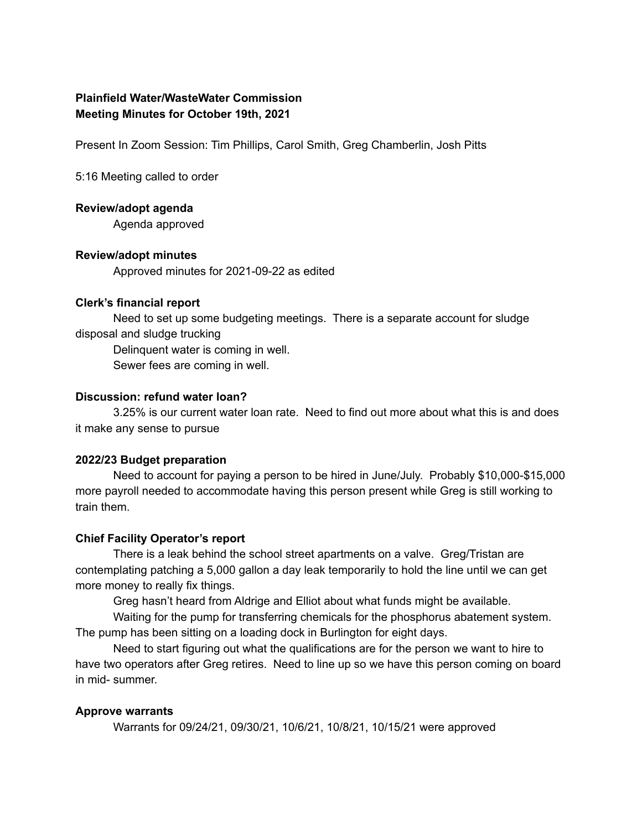# **Plainfield Water/WasteWater Commission Meeting Minutes for October 19th, 2021**

Present In Zoom Session: Tim Phillips, Carol Smith, Greg Chamberlin, Josh Pitts

5:16 Meeting called to order

#### **Review/adopt agenda**

Agenda approved

### **Review/adopt minutes**

Approved minutes for 2021-09-22 as edited

#### **Clerk's financial report**

Need to set up some budgeting meetings. There is a separate account for sludge disposal and sludge trucking

Delinquent water is coming in well.

Sewer fees are coming in well.

#### **Discussion: refund water loan?**

3.25% is our current water loan rate. Need to find out more about what this is and does it make any sense to pursue

### **2022/23 Budget preparation**

Need to account for paying a person to be hired in June/July. Probably \$10,000-\$15,000 more payroll needed to accommodate having this person present while Greg is still working to train them.

### **Chief Facility Operator's report**

There is a leak behind the school street apartments on a valve. Greg/Tristan are contemplating patching a 5,000 gallon a day leak temporarily to hold the line until we can get more money to really fix things.

Greg hasn't heard from Aldrige and Elliot about what funds might be available.

Waiting for the pump for transferring chemicals for the phosphorus abatement system. The pump has been sitting on a loading dock in Burlington for eight days.

Need to start figuring out what the qualifications are for the person we want to hire to have two operators after Greg retires. Need to line up so we have this person coming on board in mid- summer.

### **Approve warrants**

Warrants for 09/24/21, 09/30/21, 10/6/21, 10/8/21, 10/15/21 were approved